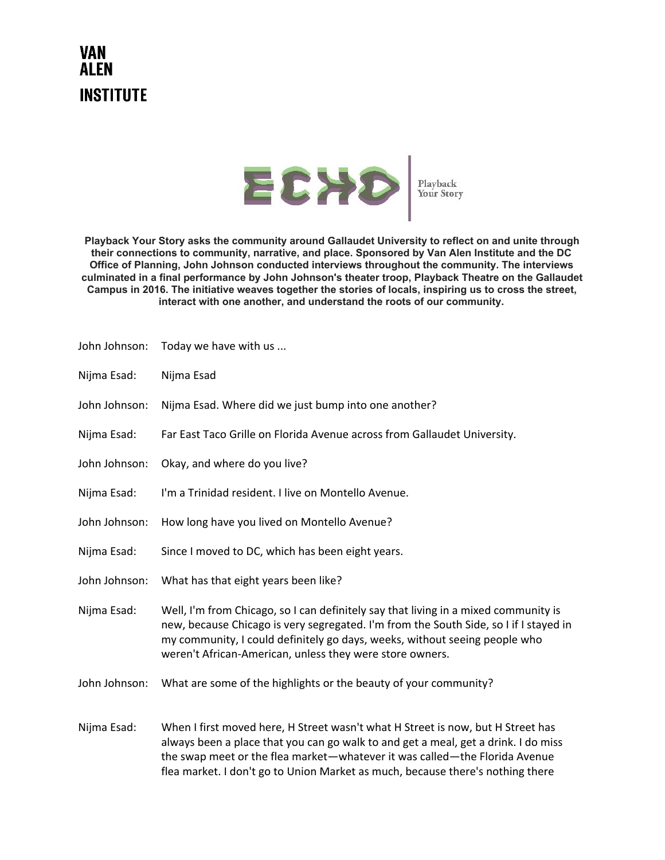## **VAN ALEN INSTITUTE**



**Playback Your Story asks the community around Gallaudet University to reflect on and unite through their connections to community, narrative, and place. Sponsored by Van Alen Institute and the DC Office of Planning, John Johnson conducted interviews throughout the community. The interviews culminated in a final performance by John Johnson's theater troop, Playback Theatre on the Gallaudet Campus in 2016. The initiative weaves together the stories of locals, inspiring us to cross the street, interact with one another, and understand the roots of our community.**

| John Johnson: | Today we have with us                                                                                                                                                                                                                                                                                                                 |
|---------------|---------------------------------------------------------------------------------------------------------------------------------------------------------------------------------------------------------------------------------------------------------------------------------------------------------------------------------------|
| Nijma Esad:   | Nijma Esad                                                                                                                                                                                                                                                                                                                            |
| John Johnson: | Nijma Esad. Where did we just bump into one another?                                                                                                                                                                                                                                                                                  |
| Nijma Esad:   | Far East Taco Grille on Florida Avenue across from Gallaudet University.                                                                                                                                                                                                                                                              |
| John Johnson: | Okay, and where do you live?                                                                                                                                                                                                                                                                                                          |
| Nijma Esad:   | I'm a Trinidad resident. I live on Montello Avenue.                                                                                                                                                                                                                                                                                   |
| John Johnson: | How long have you lived on Montello Avenue?                                                                                                                                                                                                                                                                                           |
| Nijma Esad:   | Since I moved to DC, which has been eight years.                                                                                                                                                                                                                                                                                      |
| John Johnson: | What has that eight years been like?                                                                                                                                                                                                                                                                                                  |
| Nijma Esad:   | Well, I'm from Chicago, so I can definitely say that living in a mixed community is<br>new, because Chicago is very segregated. I'm from the South Side, so I if I stayed in<br>my community, I could definitely go days, weeks, without seeing people who<br>weren't African-American, unless they were store owners.                |
| John Johnson: | What are some of the highlights or the beauty of your community?                                                                                                                                                                                                                                                                      |
| Nijma Esad:   | When I first moved here, H Street wasn't what H Street is now, but H Street has<br>always been a place that you can go walk to and get a meal, get a drink. I do miss<br>the swap meet or the flea market-whatever it was called-the Florida Avenue<br>flea market. I don't go to Union Market as much, because there's nothing there |